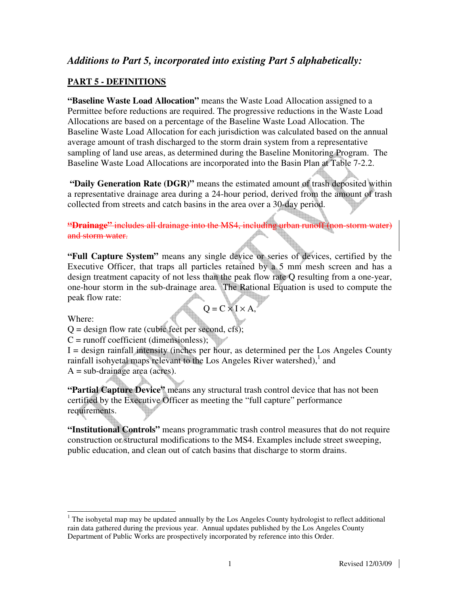# *Additions to Part 5, incorporated into existing Part 5 alphabetically:*

#### **PART 5 - DEFINITIONS**

**"Baseline Waste Load Allocation"** means the Waste Load Allocation assigned to a Permittee before reductions are required. The progressive reductions in the Waste Load Allocations are based on a percentage of the Baseline Waste Load Allocation. The Baseline Waste Load Allocation for each jurisdiction was calculated based on the annual average amount of trash discharged to the storm drain system from a representative sampling of land use areas, as determined during the Baseline Monitoring Program. The Baseline Waste Load Allocations are incorporated into the Basin Plan at Table 7-2.2.

 **"Daily Generation Rate (DGR)"** means the estimated amount of trash deposited within a representative drainage area during a 24-hour period, derived from the amount of trash collected from streets and catch basins in the area over a 30-day period.

**"Drainage"** includes all drainage into the MS4, including urban runoff (non-storm water) and storm water.

**"Full Capture System"** means any single device or series of devices, certified by the Executive Officer, that traps all particles retained by a 5 mm mesh screen and has a design treatment capacity of not less than the peak flow rate Q resulting from a one-year, one-hour storm in the sub-drainage area. The Rational Equation is used to compute the peak flow rate:

Where:

$$
Q = C \times I \times A,
$$

 $Q =$  design flow rate (cubic feet per second, cfs);

 $C =$  runoff coefficient (dimensionless);

 $I =$  design rainfall intensity (inches per hour, as determined per the Los Angeles County rainfall isohyetal maps relevant to the Los Angeles River watershed), $<sup>1</sup>$  and</sup>  $A = sub-drainage area (acres).$ 

**"Partial Capture Device"** means any structural trash control device that has not been certified by the Executive Officer as meeting the "full capture" performance requirements.

**"Institutional Controls"** means programmatic trash control measures that do not require construction or structural modifications to the MS4. Examples include street sweeping, public education, and clean out of catch basins that discharge to storm drains.

j  $1$  The isohyetal map may be updated annually by the Los Angeles County hydrologist to reflect additional rain data gathered during the previous year. Annual updates published by the Los Angeles County Department of Public Works are prospectively incorporated by reference into this Order.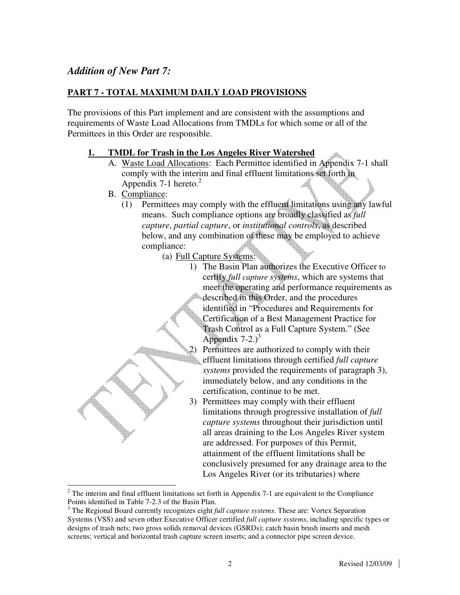## *Addition of New Part 7:*

#### **PART 7 - TOTAL MAXIMUM DAILY LOAD PROVISIONS**

The provisions of this Part implement and are consistent with the assumptions and requirements of Waste Load Allocations from TMDLs for which some or all of the Permittees in this Order are responsible.

#### **1. TMDL for Trash in the Los Angeles River Watershed**

- A. Waste Load Allocations: Each Permittee identified in Appendix 7-1 shall comply with the interim and final effluent limitations set forth in Appendix 7-1 hereto. $2$
- B. Compliance:
	- (1) Permittees may comply with the effluent limitations using any lawful means. Such compliance options are broadly classified as *full capture*, *partial capture*, or *institutional controls*, as described below, and any combination of these may be employed to achieve compliance:
		- (a) Full Capture Systems:
			- 1) The Basin Plan authorizes the Executive Officer to certify *full capture systems*, which are systems that meet the operating and performance requirements as described in this Order, and the procedures identified in "Procedures and Requirements for Certification of a Best Management Practice for Trash Control as a Full Capture System." (See Appendix  $7-2.3$ <sup>3</sup>
			- 2) Permittees are authorized to comply with their effluent limitations through certified *full capture systems* provided the requirements of paragraph 3), immediately below, and any conditions in the certification, continue to be met.
			- 3) Permittees may comply with their effluent limitations through progressive installation of *full capture systems* throughout their jurisdiction until all areas draining to the Los Angeles River system are addressed. For purposes of this Permit, attainment of the effluent limitations shall be conclusively presumed for any drainage area to the Los Angeles River (or its tributaries) where

<sup>&</sup>lt;sup>2</sup> The interim and final effluent limitations set forth in Appendix 7-1 are equivalent to the Compliance Points identified in Table 7-2.3 of the Basin Plan.

<sup>&</sup>lt;sup>3</sup> The Regional Board currently recognizes eight *full capture systems*. These are: Vortex Separation Systems (VSS) and seven other Executive Officer certified *full capture systems*, including specific types or designs of trash nets; two gross solids removal devices (GSRDs); catch basin brush inserts and mesh screens; vertical and horizontal trash capture screen inserts; and a connector pipe screen device.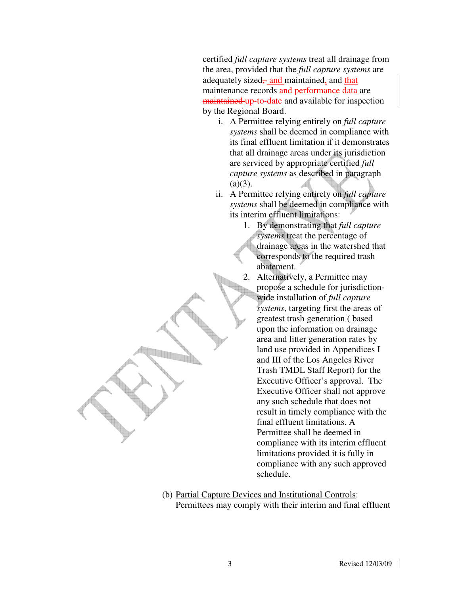certified *full capture systems* treat all drainage from the area, provided that the *full capture systems* are adequately sized– and maintained, and that maintenance records and performance data are maintained up-to-date and available for inspection by the Regional Board.

- i. A Permittee relying entirely on *full capture systems* shall be deemed in compliance with its final effluent limitation if it demonstrates that all drainage areas under its jurisdiction are serviced by appropriate certified *full capture systems* as described in paragraph  $(a)(3)$ .
- ii. A Permittee relying entirely on *full capture systems* shall be deemed in compliance with its interim effluent limitations:
	- 1. By demonstrating that *full capture systems* treat the percentage of drainage areas in the watershed that corresponds to the required trash abatement.
	- 2. Alternatively, a Permittee may propose a schedule for jurisdictionwide installation of *full capture systems*, targeting first the areas of greatest trash generation ( based upon the information on drainage area and litter generation rates by land use provided in Appendices I and III of the Los Angeles River Trash TMDL Staff Report) for the Executive Officer's approval. The Executive Officer shall not approve any such schedule that does not result in timely compliance with the final effluent limitations. A Permittee shall be deemed in compliance with its interim effluent limitations provided it is fully in compliance with any such approved schedule.
- (b) Partial Capture Devices and Institutional Controls: Permittees may comply with their interim and final effluent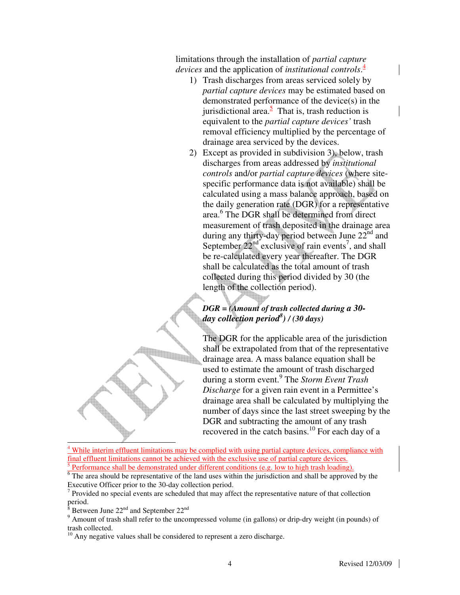limitations through the installation of *partial capture devices* and the application of *institutional controls*. 4

- 1) Trash discharges from areas serviced solely by *partial capture devices* may be estimated based on demonstrated performance of the device(s) in the jurisdictional area.<sup>5</sup> That is, trash reduction is equivalent to the *partial capture devices'* trash removal efficiency multiplied by the percentage of drainage area serviced by the devices.
- 2) Except as provided in subdivision 3), below, trash discharges from areas addressed by *institutional controls* and/or *partial capture devices* (where sitespecific performance data is not available) shall be calculated using a mass balance approach, based on the daily generation rate (DGR) for a representative area.<sup>6</sup> The DGR shall be determined from direct measurement of trash deposited in the drainage area during any thirty-day period between June  $22<sup>nd</sup>$  and September  $22<sup>nd</sup>$  exclusive of rain events<sup>7</sup>, and shall be re-calculated every year thereafter. The DGR shall be calculated as the total amount of trash collected during this period divided by 30 (the length of the collection period).

### *DGR = (Amount of trash collected during a 30 day collection period<sup>8</sup> ) / (30 days)*

The DGR for the applicable area of the jurisdiction shall be extrapolated from that of the representative drainage area. A mass balance equation shall be used to estimate the amount of trash discharged during a storm event.<sup>9</sup> The *Storm Event Trash Discharge* for a given rain event in a Permittee's drainage area shall be calculated by multiplying the number of days since the last street sweeping by the DGR and subtracting the amount of any trash recovered in the catch basins.<sup>10</sup> For each day of a

-4 While interim effluent limitations may be complied with using partial capture devices, compliance with final effluent limitations cannot be achieved with the exclusive use of partial capture devices. 5 Performance shall be demonstrated under different conditions (e.g. low to high trash loading).

<sup>6</sup> The area should be representative of the land uses within the jurisdiction and shall be approved by the Executive Officer prior to the 30-day collection period.

 $<sup>7</sup>$  Provided no special events are scheduled that may affect the representative nature of that collection</sup> period.

8 Between June 22<sup>nd</sup> and September 22<sup>nd</sup>

<sup>9</sup> Amount of trash shall refer to the uncompressed volume (in gallons) or drip-dry weight (in pounds) of trash collected.

 $10$  Any negative values shall be considered to represent a zero discharge.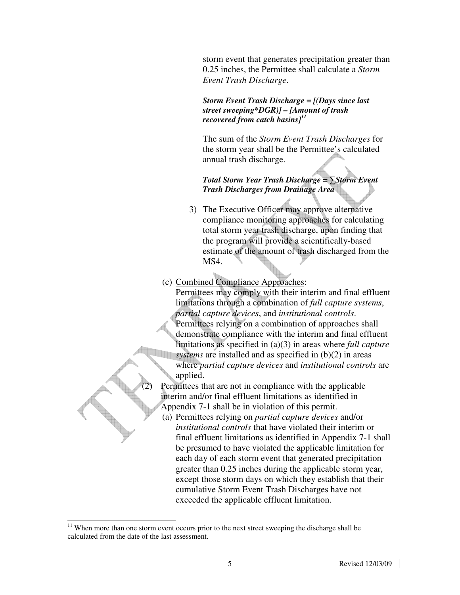storm event that generates precipitation greater than 0.25 inches, the Permittee shall calculate a *Storm Event Trash Discharge*.

*Storm Event Trash Discharge = [(Days since last street sweeping\*DGR)] – [Amount of trash recovered from catch basins]<sup>11</sup>*

The sum of the *Storm Event Trash Discharges* for the storm year shall be the Permittee's calculated annual trash discharge.

*Total Storm Year Trash Discharge =* ∑*Storm Event Trash Discharges from Drainage Area* 

- 3) The Executive Officer may approve alternative compliance monitoring approaches for calculating total storm year trash discharge, upon finding that the program will provide a scientifically-based estimate of the amount of trash discharged from the MS4.
- (c) Combined Compliance Approaches:

Permittees may comply with their interim and final effluent limitations through a combination of *full capture systems*, *partial capture devices*, and *institutional controls*. Permittees relying on a combination of approaches shall demonstrate compliance with the interim and final effluent limitations as specified in (a)(3) in areas where *full capture systems* are installed and as specified in (b)(2) in areas

where *partial capture devices* and *institutional controls* are applied.

Permittees that are not in compliance with the applicable interim and/or final effluent limitations as identified in Appendix 7-1 shall be in violation of this permit.

(a) Permittees relying on *partial capture devices* and/or *institutional controls* that have violated their interim or final effluent limitations as identified in Appendix 7-1 shall be presumed to have violated the applicable limitation for each day of each storm event that generated precipitation greater than 0.25 inches during the applicable storm year, except those storm days on which they establish that their cumulative Storm Event Trash Discharges have not exceeded the applicable effluent limitation.

j

 $11$  When more than one storm event occurs prior to the next street sweeping the discharge shall be calculated from the date of the last assessment.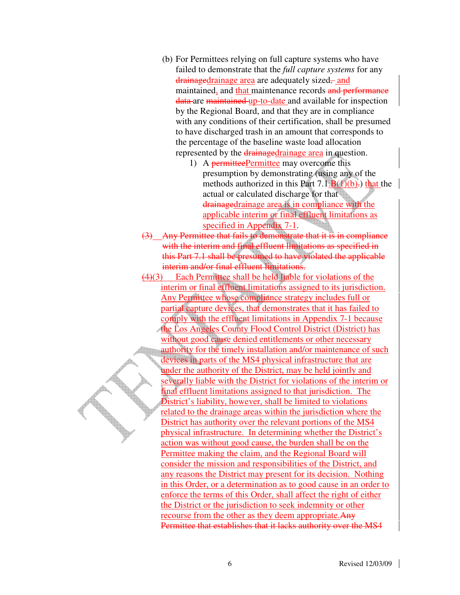- (b) For Permittees relying on full capture systems who have failed to demonstrate that the *full capture systems* for any drainagedrainage area are adequately sized–and maintained, and that maintenance records and performance data are maintained up-to-date and available for inspection by the Regional Board, and that they are in compliance with any conditions of their certification, shall be presumed to have discharged trash in an amount that corresponds to the percentage of the baseline waste load allocation represented by the drainagedrainage area in question.
	- 1) A permitteePermittee may overcome this presumption by demonstrating (using any of the methods authorized in this Part  $7.1.B(1)(b)$ . that the actual or calculated discharge for that drainagedrainage area is in compliance with the applicable interim or final effluent limitations as specified in Appendix 7-1.
- (3) Any Permittee that fails to demonstrate that it is in compliance with the interim and final effluent limitations as specified in this Part 7.1 shall be presumed to have violated the applicable interim and/or final effluent limitations.
- (4)(3) Each Permittee shall be held liable for violations of the interim or final effluent limitations assigned to its jurisdiction. Any Permittee whose compliance strategy includes full or partial capture devices, that demonstrates that it has failed to comply with the effluent limitations in Appendix 7-1 because the Los Angeles County Flood Control District (District) has without good cause denied entitlements or other necessary authority for the timely installation and/or maintenance of such devices in parts of the MS4 physical infrastructure that are under the authority of the District, may be held jointly and severally liable with the District for violations of the interim or final effluent limitations assigned to that jurisdiction. The District's liability, however, shall be limited to violations related to the drainage areas within the jurisdiction where the District has authority over the relevant portions of the MS4 physical infrastructure. In determining whether the District's action was without good cause, the burden shall be on the Permittee making the claim, and the Regional Board will consider the mission and responsibilities of the District, and any reasons the District may present for its decision. Nothing in this Order, or a determination as to good cause in an order to enforce the terms of this Order, shall affect the right of either the District or the jurisdiction to seek indemnity or other recourse from the other as they deem appropriate. Any Permittee that establishes that it lacks authority over the MS4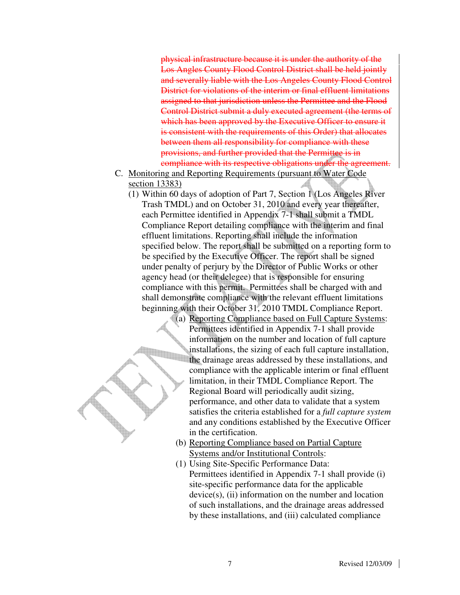physical infrastructure because it is under the authority of the Los Angles County Flood Control District shall be held jointly and severally liable with the Los Angeles County Flood Control District for violations of the interim or final effluent limitations assigned to that jurisdiction unless the Permittee and the Flood Control District submit a duly executed agreement (the terms of which has been approved by the Executive Officer to ensure it is consistent with the requirements of this Order) that allocates between them all responsibility for compliance with these provisions, and further provided that the Permittee is in compliance with its respective obligations under the agreement.

- C. Monitoring and Reporting Requirements (pursuant to Water Code section 13383)
	- (1) Within 60 days of adoption of Part 7, Section 1 (Los Angeles River Trash TMDL) and on October 31, 2010 and every year thereafter, each Permittee identified in Appendix 7-1 shall submit a TMDL Compliance Report detailing compliance with the interim and final effluent limitations. Reporting shall include the information specified below. The report shall be submitted on a reporting form to be specified by the Executive Officer. The report shall be signed under penalty of perjury by the Director of Public Works or other agency head (or their delegee) that is responsible for ensuring compliance with this permit. Permittees shall be charged with and shall demonstrate compliance with the relevant effluent limitations beginning with their October 31, 2010 TMDL Compliance Report.

(a) Reporting Compliance based on Full Capture Systems: Permittees identified in Appendix 7-1 shall provide information on the number and location of full capture installations, the sizing of each full capture installation, the drainage areas addressed by these installations, and compliance with the applicable interim or final effluent limitation, in their TMDL Compliance Report. The Regional Board will periodically audit sizing, performance, and other data to validate that a system satisfies the criteria established for a *full capture system* and any conditions established by the Executive Officer in the certification.

- (b) Reporting Compliance based on Partial Capture Systems and/or Institutional Controls:
- (1) Using Site-Specific Performance Data: Permittees identified in Appendix 7-1 shall provide (i) site-specific performance data for the applicable  $device(s)$ ,  $(ii)$  information on the number and location of such installations, and the drainage areas addressed by these installations, and (iii) calculated compliance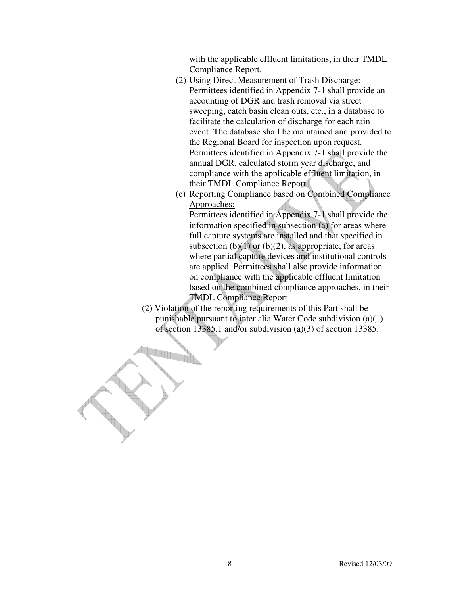with the applicable effluent limitations, in their TMDL Compliance Report.

- (2) Using Direct Measurement of Trash Discharge: Permittees identified in Appendix 7-1 shall provide an accounting of DGR and trash removal via street sweeping, catch basin clean outs, etc., in a database to facilitate the calculation of discharge for each rain event. The database shall be maintained and provided to the Regional Board for inspection upon request. Permittees identified in Appendix 7-1 shall provide the annual DGR, calculated storm year discharge, and compliance with the applicable effluent limitation, in their TMDL Compliance Report.
- (c) Reporting Compliance based on Combined Compliance Approaches:

Permittees identified in Appendix 7-1 shall provide the information specified in subsection (a) for areas where full capture systems are installed and that specified in subsection  $(b)(1)$  or  $(b)(2)$ , as appropriate, for areas where partial capture devices and institutional controls are applied. Permittees shall also provide information on compliance with the applicable effluent limitation based on the combined compliance approaches, in their TMDL Compliance Report

 (2) Violation of the reporting requirements of this Part shall be punishable pursuant to inter alia Water Code subdivision (a)(1) of section 13385.1 and/or subdivision (a)(3) of section 13385.

<u>III m</u>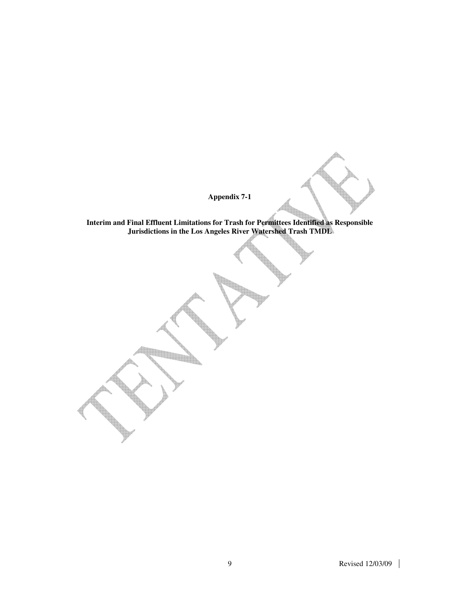**Appendix 7-1** 

**Interim and Final Effluent Limitations for Trash for Permittees Identified as Responsible Jurisdictions in the Los Angeles River Watershed Trash TMDL**

**The Second Street**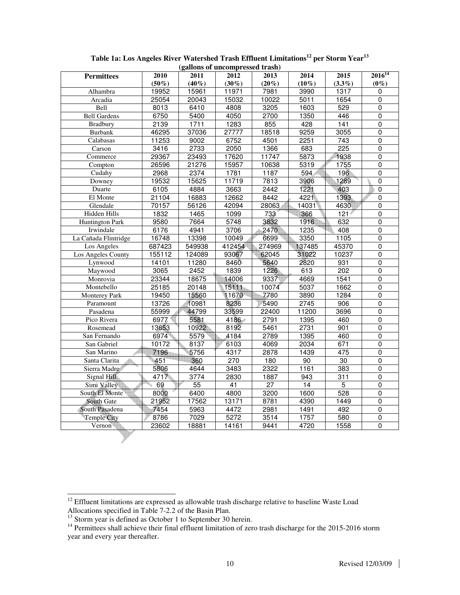| (ganons of uncompressed trash) |          |                 |                  |                 |                 |                  |                |  |  |  |  |  |
|--------------------------------|----------|-----------------|------------------|-----------------|-----------------|------------------|----------------|--|--|--|--|--|
| <b>Permittees</b>              | 2010     | 2011            | 2012             | 2013            | 2014            | 2015             | $2016^{14}$    |  |  |  |  |  |
|                                | $(50\%)$ | $(40\%)$        | $(30\%)$         | $(20\%)$        | $(10\%)$        | $(3.3\%)$        | $(0\%)$        |  |  |  |  |  |
| Alhambra                       | 19952    | 15961           | 11971            | 7981            | 3990            | 1317             | 0              |  |  |  |  |  |
| Arcadia                        | 25054    | 20043           | 15032            | 10022           | 5011            | 1654             | $\overline{0}$ |  |  |  |  |  |
| Bell                           | 8013     | 6410            | 4808             | 3205            | 1603            | 529              | 0              |  |  |  |  |  |
| <b>Bell Gardens</b>            | 6750     | 5400            | 4050             | 2700            | 1350            | 446              | 0              |  |  |  |  |  |
| <b>Bradbury</b>                | 2139     | 1711            | 1283             | 855             | 428             | 141              | $\overline{0}$ |  |  |  |  |  |
| <b>Burbank</b>                 | 46295    | 37036           | 27777            | 18518           | 9259            | 3055             | $\overline{0}$ |  |  |  |  |  |
| Calabasas                      | 11253    | 9002            | 6752             | 4501            | 2251            | 743              | $\overline{0}$ |  |  |  |  |  |
| Carson                         | 3416     | 2733            | 2050             | 1366            | 683             | $\overline{225}$ | $\mathbf 0$    |  |  |  |  |  |
| Commerce                       | 29367    | 23493           | 17620            | 11747           | 5873            | 1938             | $\overline{0}$ |  |  |  |  |  |
| Compton                        | 26596    | 21276           | 15957            | 10638           | 5319            | 1755             | $\overline{0}$ |  |  |  |  |  |
| Cudahy                         | 2968     | 2374            | 1781             | 1187            | 594             | 196              | $\mathbf 0$    |  |  |  |  |  |
| Downey                         | 19532    | 15625           | 11719            | 7813            | 3906            | 1289             | $\overline{0}$ |  |  |  |  |  |
| Duarte                         | 6105     | 4884            | 3663             | 2442            | 1221            | 403              | $\overline{0}$ |  |  |  |  |  |
| El Monte                       | 21104    | 16883           | 12662            | 8442            | 4221            | 1393             | 0              |  |  |  |  |  |
| Glendale                       | 70157    | 56126           | 42094            | 28063           | 14031           | 4630             | $\mathbf 0$    |  |  |  |  |  |
| Hidden Hills                   | 1832     | 1465            | 1099             | 733             | 366             | 121              | $\mathbf 0$    |  |  |  |  |  |
| <b>Huntington Park</b>         | 9580     | 7664            | 5748             | 3832            | 1916            | 632              | $\overline{0}$ |  |  |  |  |  |
| Irwindale                      | 6176     | 4941            | 3706             | 2470            | 1235            | 408              | $\overline{0}$ |  |  |  |  |  |
| La Cañada Flintridge           | 16748    | 13398           | 10049            | 6699            | 3350            | 1105             | $\mathbf 0$    |  |  |  |  |  |
| Los Angeles                    | 687423   | 549938          | 412454           | 274969          | 137485          | 45370            | $\mathbf 0$    |  |  |  |  |  |
| Los Angeles County             | 155112   | 124089          | 93067            | 62045           | 31022           | 10237            | $\overline{0}$ |  |  |  |  |  |
| Lynwood                        | 14101    | 11280           | 8460             | 5640            | 2820            | 931              | $\pmb{0}$      |  |  |  |  |  |
| Maywood                        | 3065     | 2452            | 1839             | 1226            | 613             | 202              | $\overline{0}$ |  |  |  |  |  |
| Monrovia                       | 23344    | 18675           | 14006            | 9337            | 4669            | 1541             | $\mathbf 0$    |  |  |  |  |  |
| Montebello                     | 25185    | 20148           | 15111            | 10074           | 5037            | 1662             | $\overline{0}$ |  |  |  |  |  |
| <b>Monterev Park</b>           | 19450    | 15560           | 11670            | 7780            | 3890            | 1284             | $\overline{0}$ |  |  |  |  |  |
| Paramount                      | 13726    | 10981           | 8236             | 5490            | 2745            | 906              | $\mathbf 0$    |  |  |  |  |  |
| Pasadena                       | 55999    | 44799           | 33599            | 22400           | 11200           | 3696             | $\overline{0}$ |  |  |  |  |  |
| Pico Rivera                    | 6977     | 5581            | 4186             | 2791            | 1395            | 460              | 0              |  |  |  |  |  |
| Rosemead                       | 13653    | 10922           | 8192             | 5461            | 2731            | 901              | $\pmb{0}$      |  |  |  |  |  |
| San Fernando                   | 6974     | 5579            | 4184             | 2789            | 1395            | 460              | $\Omega$       |  |  |  |  |  |
| San Gabriel                    | 10172    | 8137            | 6103             | 4069            | 2034            | 671              | $\mathbf 0$    |  |  |  |  |  |
| San Marino                     | 7196     | 5756            | 4317             | 2878            | 1439            | 475              | $\overline{0}$ |  |  |  |  |  |
| Santa Clarita                  | 451      | 360             | $\overline{270}$ | 180             | $\overline{90}$ | $\overline{30}$  | $\overline{0}$ |  |  |  |  |  |
| Sierra Madre                   | 5806     | 4644            | 3483             | 2322            | 1161            | 383              | $\mathbf 0$    |  |  |  |  |  |
| Signal Hill                    | 4717     | 3774            | 2830             | 1887            | 943             | 311              | $\overline{0}$ |  |  |  |  |  |
| Simi Valley                    | 69       | $\overline{55}$ | 41               | $\overline{27}$ | 14              | $\overline{5}$   | $\overline{0}$ |  |  |  |  |  |
| South El Monte                 | 8000     | 6400            | 4800             | 3200            | 1600            | 528              | $\overline{0}$ |  |  |  |  |  |
| South Gate                     | 21952    | 17562           | 13171            | 8781            | 4390            | 1449             | $\mathbf 0$    |  |  |  |  |  |
| South Pasadena                 | 7454     | 5963            | 4472             | 2981            | 1491            | 492              | $\overline{0}$ |  |  |  |  |  |
| <b>Temple City</b>             | 8786     | 7029            | 5272             | 3514            | 1757            | 580              | $\pmb{0}$      |  |  |  |  |  |
| Vernon                         | 23602    | 18881           | 14161            | 9441            | 4720            | 1558             | 0              |  |  |  |  |  |
|                                |          |                 |                  |                 |                 |                  |                |  |  |  |  |  |

**Table 1a: Los Angeles River Watershed Trash Effluent Limitations<sup>12</sup> per Storm Year<sup>13</sup> (gallons of uncompressed trash)**

 $\overline{a}$ 

 $12$  Effluent limitations are expressed as allowable trash discharge relative to baseline Waste Load Allocations specified in Table 7-2.2 of the Basin Plan.

<sup>&</sup>lt;sup>13</sup> Storm year is defined as October 1 to September 30 herein.

<sup>&</sup>lt;sup>14</sup> Permittees shall achieve their final effluent limitation of zero trash discharge for the 2015-2016 storm year and every year thereafter.